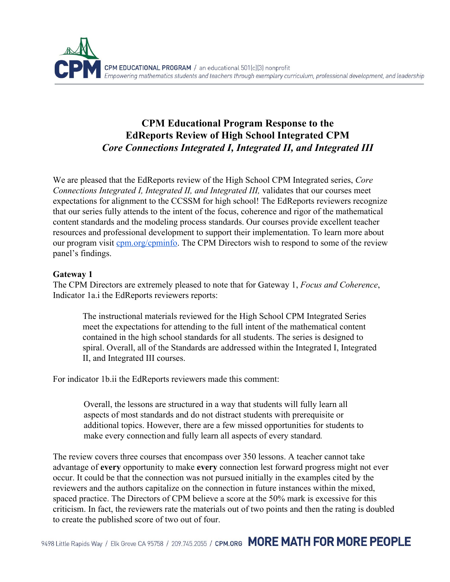

# **CPM Educational Program Response to the EdReports Review of High School Integrated CPM** *Core Connections Integrated I, Integrated II, and Integrated III*

We are pleased that the EdReports review of the High School CPM Integrated series, *Core Connections Integrated I, Integrated II, and Integrated III,* validates that our courses meet expectations for alignment to the CCSSM for high school! The EdReports reviewers recognize that our series fully attends to the intent of the focus, coherence and rigor of the mathematical content standards and the modeling process standards. Our courses provide excellent teacher resources and professional development to support their implementation. To learn more about our program visit [cpm.org/cpminfo.](http://cpm.org/cpminfo) The CPM Directors wish to respond to some of the review panel's findings.

### **Gateway 1**

The CPM Directors are extremely pleased to note that for Gateway 1, *Focus and Coherence*, Indicator 1a.i the EdReports reviewers reports:

The instructional materials reviewed for the High School CPM Integrated Series meet the expectations for attending to the full intent of the mathematical content contained in the high school standards for all students. The series is designed to spiral. Overall, all of the Standards are addressed within the Integrated I, Integrated II, and Integrated III courses.

For indicator 1b.ii the EdReports reviewers made this comment:

Overall, the lessons are structured in a way that students will fully learn all aspects of most standards and do not distract students with prerequisite or additional topics. However, there are a few missed opportunities for students to make every connection and fully learn all aspects of every standard*.*

The review covers three courses that encompass over 350 lessons. A teacher cannot take advantage of **every** opportunity to make **every** connection lest forward progress might not ever occur. It could be that the connection was not pursued initially in the examples cited by the reviewers and the authors capitalize on the connection in future instances within the mixed, spaced practice. The Directors of CPM believe a score at the 50% mark is excessive for this criticism. In fact, the reviewers rate the materials out of two points and then the rating is doubled to create the published score of two out of four.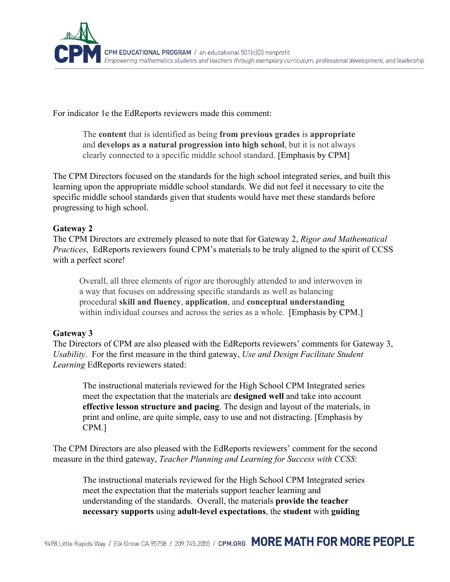

For indicator 1e the EdReports reviewers made this comment:

The **content** that is identified as being **from previous grades** is **appropriate** and **develops as a natural progression into high school**, but it is not always clearly connected to a specific middle school standard. [Emphasis by CPM]

The CPM Directors focused on the standards for the high school integrated series, and built this learning upon the appropriate middle school standards. We did not feel it necessary to cite the specific middle school standards given that students would have met these standards before progressing to high school.

## **Gateway 2**

The CPM Directors are extremely pleased to note that for Gateway 2, *Rigor and Mathematical Practices*, EdReports reviewers found CPM's materials to be truly aligned to the spirit of CCSS with a perfect score!

Overall, all three elements of rigor are thoroughly attended to and interwoven in a way that focuses on addressing specific standards as well as balancing procedural **skill and fluency**, **application**, and **conceptual understanding** within individual courses and across the series as a whole. [Emphasis by CPM.]

## **Gateway 3**

The Directors of CPM are also pleased with the EdReports reviewers' comments for Gateway 3, *Usability*. For the first measure in the third gateway, *Use and Design Facilitate Student Learning* EdReports reviewers stated:

The instructional materials reviewed for the High School CPM Integrated series meet the expectation that the materials are **designed well** and take into account **effective lesson structure and pacing**. The design and layout of the materials, in print and online, are quite simple, easy to use and not distracting. [Emphasis by CPM.]

The CPM Directors are also pleased with the EdReports reviewers' comment for the second measure in the third gateway, *Teacher Planning and Learning for Success with CCSS*:

The instructional materials reviewed for the High School CPM Integrated series meet the expectation that the materials support teacher learning and understanding of the standards. Overall, the materials **provide the teacher necessary supports** using **adult-level expectations**, the **student** with **guiding**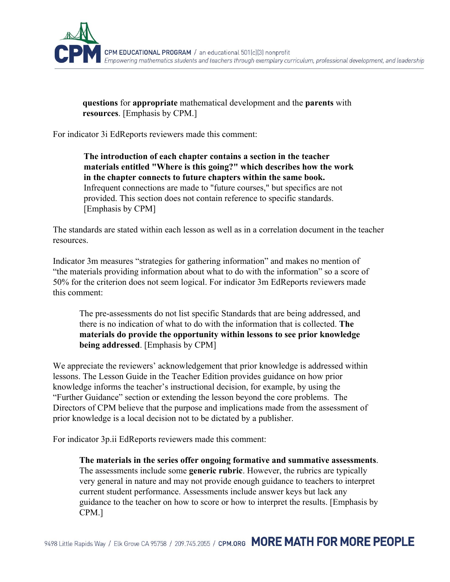

**questions** for **appropriate** mathematical development and the **parents** with **resources**. [Emphasis by CPM.]

For indicator 3i EdReports reviewers made this comment:

**The introduction of each chapter contains a section in the teacher materials entitled "Where is this going?" which describes how the work in the chapter connects to future chapters within the same book.** Infrequent connections are made to "future courses," but specifics are not provided. This section does not contain reference to specific standards. [Emphasis by CPM]

The standards are stated within each lesson as well as in a correlation document in the teacher resources.

Indicator 3m measures "strategies for gathering information" and makes no mention of "the materials providing information about what to do with the information" so a score of 50% for the criterion does not seem logical. For indicator 3m EdReports reviewers made this comment:

The pre-assessments do not list specific Standards that are being addressed, and there is no indication of what to do with the information that is collected. **The materials do provide the opportunity within lessons to see prior knowledge being addressed**. [Emphasis by CPM]

We appreciate the reviewers' acknowledgement that prior knowledge is addressed within lessons. The Lesson Guide in the Teacher Edition provides guidance on how prior knowledge informs the teacher's instructional decision, for example, by using the "Further Guidance" section or extending the lesson beyond the core problems. The Directors of CPM believe that the purpose and implications made from the assessment of prior knowledge is a local decision not to be dictated by a publisher.

For indicator 3p.ii EdReports reviewers made this comment:

**The materials in the series offer ongoing formative and summative assessments**. The assessments include some **generic rubric**. However, the rubrics are typically very general in nature and may not provide enough guidance to teachers to interpret current student performance. Assessments include answer keys but lack any guidance to the teacher on how to score or how to interpret the results. [Emphasis by CPM.]